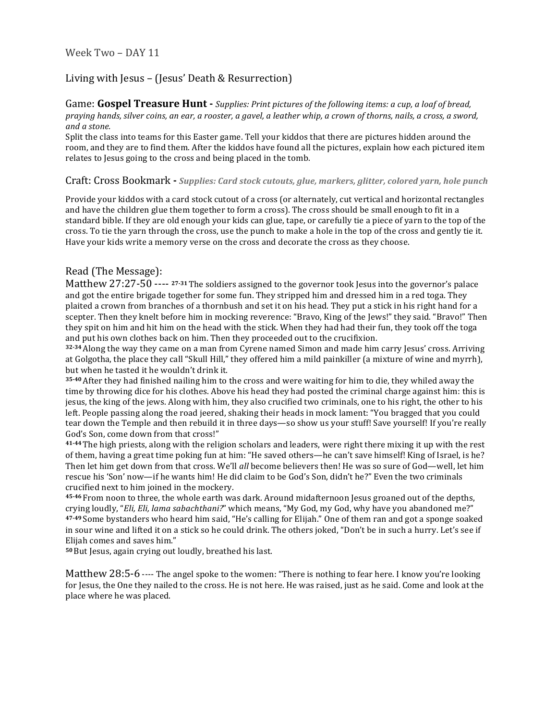## Week Two – DAY 11

## Living with Jesus – (Jesus' Death & Resurrection)

Game: Gospel Treasure Hunt - *Supplies: Print pictures of the following items: a cup, a loaf of bread, praying hands, silver coins, an ear, a rooster, a gavel, a leather whip, a crown of thorns, nails, a cross, a sword, and a stone.*

Split the class into teams for this Easter game. Tell your kiddos that there are pictures hidden around the room, and they are to find them. After the kiddos have found all the pictures, explain how each pictured item relates to Jesus going to the cross and being placed in the tomb.

## Craft: Cross Bookmark **-** *Supplies: Card stock cutouts, glue, markers, glitter, colored yarn, hole punch*

Provide your kiddos with a card stock cutout of a cross (or alternately, cut vertical and horizontal rectangles and have the children glue them together to form a cross). The cross should be small enough to fit in a standard bible. If they are old enough your kids can glue, tape, or carefully tie a piece of yarn to the top of the cross. To tie the yarn through the cross, use the punch to make a hole in the top of the cross and gently tie it. Have your kids write a memory verse on the cross and decorate the cross as they choose.

## Read (The Message):

Matthew 27:27-50 ---- <sup>27-31</sup> The soldiers assigned to the governor took Jesus into the governor's palace and got the entire brigade together for some fun. They stripped him and dressed him in a red toga. They plaited a crown from branches of a thornbush and set it on his head. They put a stick in his right hand for a scepter. Then they knelt before him in mocking reverence: "Bravo, King of the Jews!" they said. "Bravo!" Then they spit on him and hit him on the head with the stick. When they had had their fun, they took off the toga and put his own clothes back on him. Then they proceeded out to the crucifixion.

32-34 Along the way they came on a man from Cyrene named Simon and made him carry Jesus' cross. Arriving at Golgotha, the place they call "Skull Hill," they offered him a mild painkiller (a mixture of wine and myrrh), but when he tasted it he wouldn't drink it.

35-40 After they had finished nailing him to the cross and were waiting for him to die, they whiled away the time by throwing dice for his clothes. Above his head they had posted the criminal charge against him: this is jesus, the king of the jews. Along with him, they also crucified two criminals, one to his right, the other to his left. People passing along the road jeered, shaking their heads in mock lament: "You bragged that you could tear down the Temple and then rebuild it in three days—so show us your stuff! Save yourself! If you're really God's Son, come down from that cross!"

41-44 The high priests, along with the religion scholars and leaders, were right there mixing it up with the rest of them, having a great time poking fun at him: "He saved others—he can't save himself! King of Israel, is he? Then let him get down from that cross. We'll *all* become believers then! He was so sure of God—well, let him rescue his 'Son' now—if he wants him! He did claim to be God's Son, didn't he?" Even the two criminals crucified next to him joined in the mockery.

45-46 From noon to three, the whole earth was dark. Around midafternoon Jesus groaned out of the depths, crying loudly, "*Eli, Eli, lama sabachthani?"* which means, "My God, my God, why have you abandoned me?" 47-49 Some bystanders who heard him said, "He's calling for Elijah." One of them ran and got a sponge soaked in sour wine and lifted it on a stick so he could drink. The others joked, "Don't be in such a hurry. Let's see if Elijah comes and saves him."

<sup>50</sup> But Jesus, again crying out loudly, breathed his last.

Matthew 28:5-6 ---- The angel spoke to the women: "There is nothing to fear here. I know you're looking for Jesus, the One they nailed to the cross. He is not here. He was raised, just as he said. Come and look at the place where he was placed.